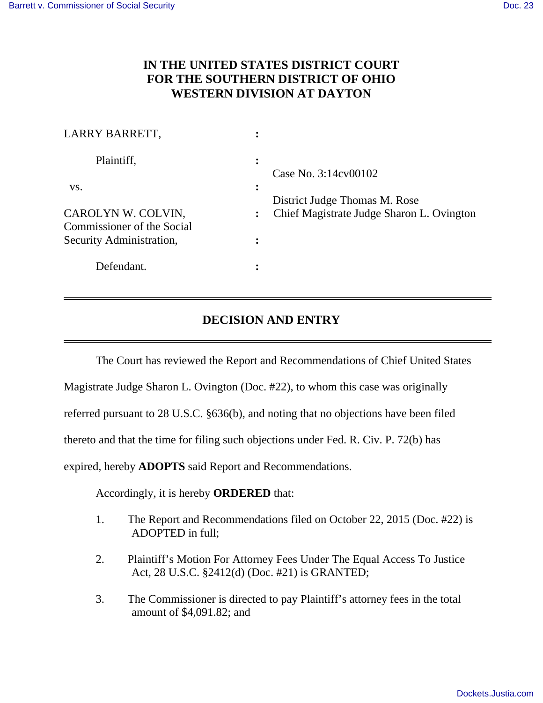$\overline{a}$ 

## **IN THE UNITED STATES DISTRICT COURT FOR THE SOUTHERN DISTRICT OF OHIO WESTERN DIVISION AT DAYTON**

| LARRY BARRETT,                                   |                                           |
|--------------------------------------------------|-------------------------------------------|
| Plaintiff,                                       | $\bullet$<br>Case No. 3:14cv00102         |
| VS.                                              | District Judge Thomas M. Rose             |
| CAROLYN W. COLVIN,<br>Commissioner of the Social | Chief Magistrate Judge Sharon L. Ovington |
| Security Administration,                         |                                           |
| Defendant.                                       |                                           |
|                                                  |                                           |

## **DECISION AND ENTRY**

The Court has reviewed the Report and Recommendations of Chief United States

Magistrate Judge Sharon L. Ovington (Doc. #22), to whom this case was originally

referred pursuant to 28 U.S.C. §636(b), and noting that no objections have been filed

thereto and that the time for filing such objections under Fed. R. Civ. P. 72(b) has

expired, hereby **ADOPTS** said Report and Recommendations.

Accordingly, it is hereby **ORDERED** that:

- 1. The Report and Recommendations filed on October 22, 2015 (Doc. #22) is ADOPTED in full;
- 2. Plaintiff's Motion For Attorney Fees Under The Equal Access To Justice Act, 28 U.S.C. §2412(d) (Doc. #21) is GRANTED;
- 3. The Commissioner is directed to pay Plaintiff's attorney fees in the total amount of \$4,091.82; and